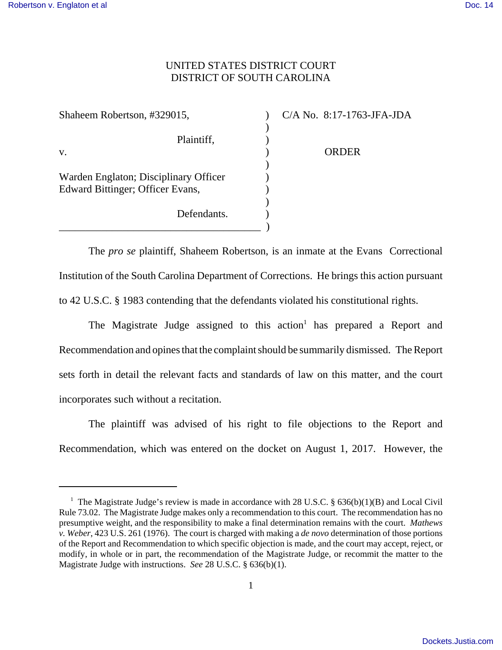## UNITED STATES DISTRICT COURT DISTRICT OF SOUTH CAROLINA

| Shaheem Robertson, #329015,                                               | $C/A$ No. $8:17-176$ |
|---------------------------------------------------------------------------|----------------------|
| Plaintiff,<br>V.                                                          | ORDER                |
| Warden Englaton; Disciplinary Officer<br>Edward Bittinger; Officer Evans, |                      |
| Defendants.                                                               |                      |
|                                                                           |                      |

 $\frac{3}{4}$ -1763-JFA-JDA

The *pro se* plaintiff, Shaheem Robertson, is an inmate at the Evans Correctional Institution of the South Carolina Department of Corrections. He brings this action pursuant to 42 U.S.C. § 1983 contending that the defendants violated his constitutional rights.

The Magistrate Judge assigned to this action<sup>1</sup> has prepared a Report and Recommendation and opines that the complaint should be summarily dismissed. The Report sets forth in detail the relevant facts and standards of law on this matter, and the court incorporates such without a recitation.

The plaintiff was advised of his right to file objections to the Report and Recommendation, which was entered on the docket on August 1, 2017. However, the

<sup>&</sup>lt;sup>1</sup> The Magistrate Judge's review is made in accordance with 28 U.S.C. § 636(b)(1)(B) and Local Civil Rule 73.02. The Magistrate Judge makes only a recommendation to this court. The recommendation has no presumptive weight, and the responsibility to make a final determination remains with the court. *Mathews v. Weber*, 423 U.S. 261 (1976). The court is charged with making a *de novo* determination of those portions of the Report and Recommendation to which specific objection is made, and the court may accept, reject, or modify, in whole or in part, the recommendation of the Magistrate Judge, or recommit the matter to the Magistrate Judge with instructions. *See* 28 U.S.C. § 636(b)(1).